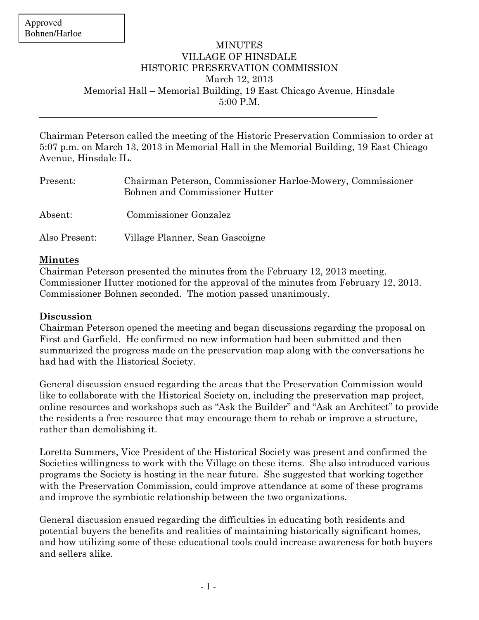$\overline{a}$ 

## MINUTES VILLAGE OF HINSDALE HISTORIC PRESERVATION COMMISSION March 12, 2013 Memorial Hall – Memorial Building, 19 East Chicago Avenue, Hinsdale 5:00 P.M.

Chairman Peterson called the meeting of the Historic Preservation Commission to order at 5:07 p.m. on March 13, 2013 in Memorial Hall in the Memorial Building, 19 East Chicago Avenue, Hinsdale IL.

| Present:      | Chairman Peterson, Commissioner Harloe-Mowery, Commissioner<br>Bohnen and Commissioner Hutter |
|---------------|-----------------------------------------------------------------------------------------------|
| Absent:       | <b>Commissioner Gonzalez</b>                                                                  |
| Also Present: | Village Planner, Sean Gascoigne                                                               |

## Minutes

Chairman Peterson presented the minutes from the February 12, 2013 meeting. Commissioner Hutter motioned for the approval of the minutes from February 12, 2013. Commissioner Bohnen seconded. The motion passed unanimously.

## Discussion

Chairman Peterson opened the meeting and began discussions regarding the proposal on First and Garfield. He confirmed no new information had been submitted and then summarized the progress made on the preservation map along with the conversations he had had with the Historical Society.

General discussion ensued regarding the areas that the Preservation Commission would like to collaborate with the Historical Society on, including the preservation map project, online resources and workshops such as "Ask the Builder" and "Ask an Architect" to provide the residents a free resource that may encourage them to rehab or improve a structure, rather than demolishing it.

Loretta Summers, Vice President of the Historical Society was present and confirmed the Societies willingness to work with the Village on these items. She also introduced various programs the Society is hosting in the near future. She suggested that working together with the Preservation Commission, could improve attendance at some of these programs and improve the symbiotic relationship between the two organizations.

General discussion ensued regarding the difficulties in educating both residents and potential buyers the benefits and realities of maintaining historically significant homes, and how utilizing some of these educational tools could increase awareness for both buyers and sellers alike.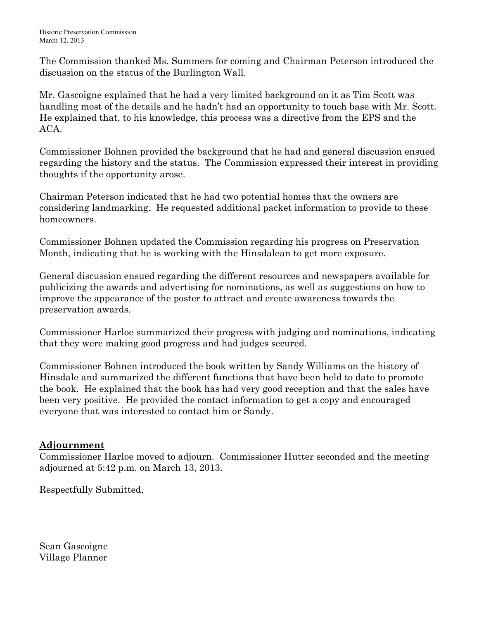The Commission thanked Ms. Summers for coming and Chairman Peterson introduced the discussion on the status of the Burlington Wall.

Mr. Gascoigne explained that he had a very limited background on it as Tim Scott was handling most of the details and he hadn't had an opportunity to touch base with Mr. Scott. He explained that, to his knowledge, this process was a directive from the EPS and the ACA.

Commissioner Bohnen provided the background that he had and general discussion ensued regarding the history and the status. The Commission expressed their interest in providing thoughts if the opportunity arose.

Chairman Peterson indicated that he had two potential homes that the owners are considering landmarking. He requested additional packet information to provide to these homeowners.

Commissioner Bohnen updated the Commission regarding his progress on Preservation Month, indicating that he is working with the Hinsdalean to get more exposure.

General discussion ensued regarding the different resources and newspapers available for publicizing the awards and advertising for nominations, as well as suggestions on how to improve the appearance of the poster to attract and create awareness towards the preservation awards.

Commissioner Harloe summarized their progress with judging and nominations, indicating that they were making good progress and had judges secured.

Commissioner Bohnen introduced the book written by Sandy Williams on the history of Hinsdale and summarized the different functions that have been held to date to promote the book. He explained that the book has had very good reception and that the sales have been very positive. He provided the contact information to get a copy and encouraged everyone that was interested to contact him or Sandy.

## Adjournment

Commissioner Harloe moved to adjourn. Commissioner Hutter seconded and the meeting adjourned at 5:42 p.m. on March 13, 2013.

Respectfully Submitted,

Sean Gascoigne Village Planner